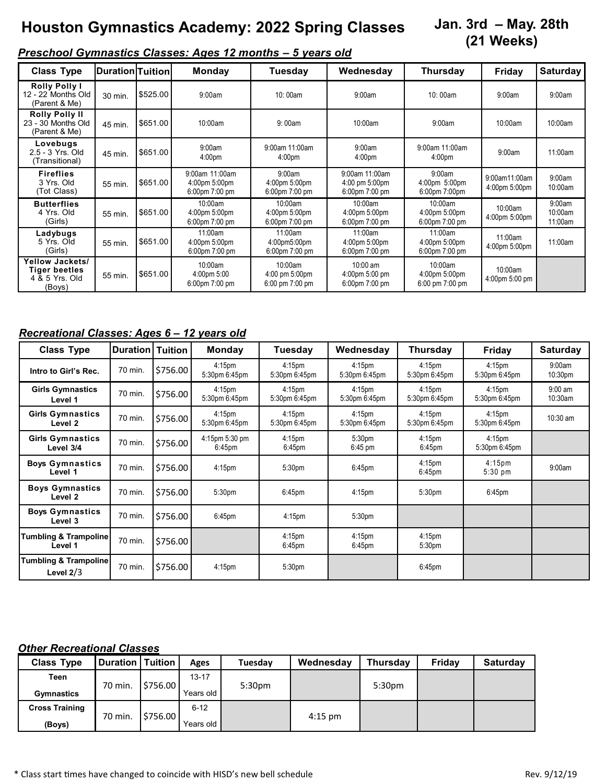# **Houston Gymnastics Academy: 2022 Spring Classes**

# **Jan. 3rd – May. 28th (21 Weeks)**

# *Preschool Gymnastics Classes: Ages 12 months – 5 years old*

| <b>Class Type</b>                                            | Duration Tuition |          | <b>Monday</b>                                     | Tuesday                                             | Wednesday                                          | <b>Thursday</b>                                                 | Friday                         | <b>Saturday</b>              |
|--------------------------------------------------------------|------------------|----------|---------------------------------------------------|-----------------------------------------------------|----------------------------------------------------|-----------------------------------------------------------------|--------------------------------|------------------------------|
| <b>Rolly Polly I</b><br>12 - 22 Months Old<br>(Parent & Me)  | 30 min.          | \$525.00 | 9:00am                                            | 10:00am                                             | 9:00am                                             | 10:00am                                                         | 9:00am                         | 9:00am                       |
| <b>Rolly Polly II</b><br>23 - 30 Months Old<br>(Parent & Me) | 45 min.          | \$651.00 | 10:00am                                           | 9:00am                                              | 10:00am                                            | 9:00am                                                          | 10:00am                        | 10:00am                      |
| Lovebugs<br>2.5 - 3 Yrs. Old<br>(Transitional)               | 45 min.          | \$651.00 | 9:00am<br>4:00 <sub>pm</sub>                      | 9:00am 11:00am<br>4:00 <sub>pm</sub>                | 9:00am<br>4:00 <sub>pm</sub>                       | 9:00am 11:00am<br>4:00 <sub>pm</sub>                            | 9:00am                         | 11:00am                      |
| <b>Fireflies</b><br>3 Yrs. Old<br>(Tot Class)                | 55 min.          | \$651.00 | 9:00am 11:00am<br>4:00pm 5:00pm<br>6:00pm 7:00 pm | 9:00am<br>4:00pm 5:00pm<br>$6:00 \text{pm}$ 7:00 pm | 9:00am 11:00am<br>4:00 pm 5:00pm<br>6:00pm 7:00 pm | 9:00am<br>4:00pm 5:00pm<br>6:00pm 7:00pm                        | 9:00am11:00am<br>4:00pm 5:00pm | 9:00am<br>10:00am            |
| <b>Butterflies</b><br>4 Yrs. Old<br>(Girls)                  | 55 min.          | \$651.00 | $10:00$ am<br>4:00pm 5:00pm<br>6:00pm 7:00 pm     | 10:00am<br>4:00pm 5:00pm<br>6:00pm 7:00 pm          | 10:00am<br>4:00pm 5:00pm<br>6:00pm 7:00 pm         | 10:00am<br>4:00pm 5:00pm<br>6:00pm 7:00 pm                      | 10:00am<br>4:00pm 5:00pm       | 9:00am<br>10:00am<br>11:00am |
| Ladybugs<br>5 Yrs. Old<br>(Girls)                            | 55 min.          | \$651.00 | 11:00am<br>4:00pm 5:00pm<br>6:00pm 7:00 pm        | 11:00am<br>4:00pm5:00pm<br>6:00pm 7:00 pm           | 11:00am<br>4:00pm 5:00pm<br>6:00pm 7:00 pm         | 11:00am<br>4:00pm 5:00pm<br>6:00pm 7:00 pm                      | 11:00am<br>4:00pm 5:00pm       | 11:00am                      |
| Yellow Jackets/<br>Tiger beetles<br>4 & 5 Yrs. Old<br>(Boys) | 55 min.          | \$651.00 | 10:00am<br>4:00pm 5:00<br>6:00pm 7:00 pm          | 10:00am<br>4:00 pm 5:00pm<br>6:00 pm 7:00 pm        | 10:00 am<br>4:00pm 5:00 pm<br>6:00pm 7:00 pm       | 10:00am<br>4:00pm 5:00pm<br>$6:00 \text{ pm } 7:00 \text{ pm }$ | 10:00am<br>4:00pm 5:00 pm      |                              |

### *Recreational Classes: Ages 6 – 12 years old*

| <b>Class Type</b>                               | <b>Duration   Tuition</b> |          | <b>Monday</b>                        | Tuesday                             | Wednesday                                | <b>Thursday</b>                          | <b>Friday</b>                           | <b>Saturday</b>      |
|-------------------------------------------------|---------------------------|----------|--------------------------------------|-------------------------------------|------------------------------------------|------------------------------------------|-----------------------------------------|----------------------|
| Intro to Girl's Rec.                            | 70 min.                   | \$756.00 | 4:15 <sub>pm</sub><br>5:30pm 6:45pm  | 4:15 <sub>pm</sub><br>5:30pm 6:45pm | 4:15 <sub>pm</sub><br>5:30pm 6:45pm      | 4:15 <sub>pm</sub><br>5:30pm 6:45pm      | 4:15 <sub>pm</sub><br>5:30pm 6:45pm     | 9:00am<br>10:30pm    |
| <b>Girls Gymnastics</b><br>Level 1              | 70 min.                   | \$756.00 | 4:15 <sub>pm</sub><br>5:30pm 6:45pm  | 4:15 <sub>pm</sub><br>5:30pm 6:45pm | 4:15 <sub>pm</sub><br>5:30pm 6:45pm      | 4:15 <sub>pm</sub><br>5:30pm 6:45pm      | 4:15 <sub>pm</sub><br>5:30pm 6:45pm     | $9:00$ am<br>10:30am |
| <b>Girls Gymnastics</b><br>Level 2              | 70 min.                   | \$756.00 | 4:15 <sub>pm</sub><br>5:30pm 6:45pm  | 4:15 <sub>pm</sub><br>5:30pm 6:45pm | 4:15 <sub>pm</sub><br>5:30pm 6:45pm      | 4:15 <sub>pm</sub><br>5:30pm 6:45pm      | 4:15 <sub>pm</sub><br>5:30pm 6:45pm     | 10:30 am             |
| <b>Girls Gymnastics</b><br>Level 3/4            | 70 min.                   | \$756.00 | 4:15pm 5:30 pm<br>6:45 <sub>pm</sub> | 4:15 <sub>pm</sub><br>$6:45$ pm     | 5:30 <sub>pm</sub><br>$6:45 \text{ pm}$  | 4:15 <sub>pm</sub><br>6.45 <sub>pm</sub> | $4:15$ pm<br>5:30pm 6:45pm              |                      |
| <b>Boys Gymnastics</b><br>Level 1               | 70 min.                   | \$756.00 | 4:15 <sub>pm</sub>                   | 5:30 <sub>pm</sub>                  | $6:45$ pm                                | 4:15pm<br>6:45 <sub>pm</sub>             | 4:15 <sub>pm</sub><br>$5:30 \text{ pm}$ | 9:00am               |
| <b>Boys Gymnastics</b><br>Level <sub>2</sub>    | 70 min.                   | \$756.00 | 5:30pm                               | $6:45$ pm                           | 4:15 <sub>pm</sub>                       | 5:30 <sub>pm</sub>                       | 6:45 <sub>pm</sub>                      |                      |
| <b>Boys Gymnastics</b><br>Level 3               | 70 min.                   | \$756.00 | $6:45$ pm                            | 4:15 <sub>pm</sub>                  | 5:30pm                                   |                                          |                                         |                      |
| <b>Tumbling &amp; Trampoline</b><br>Level 1     | 70 min.                   | \$756.00 |                                      | 4:15 <sub>pm</sub><br>$6:45$ pm     | 4:15 <sub>pm</sub><br>6:45 <sub>pm</sub> | 4:15 <sub>pm</sub><br>5:30 <sub>pm</sub> |                                         |                      |
| <b>Tumbling &amp; Trampoline</b><br>Level $2/3$ | 70 min.                   | \$756.00 | 4:15 <sub>pm</sub>                   | 5:30 <sub>pm</sub>                  |                                          | 6:45pm                                   |                                         |                      |

#### *Other Recreational Classes*

| <b>Class Type</b>     | <b>Duration   Tuition</b> |          | Ages      | <b>Tuesday</b>     | Wednesday | <b>Thursday</b> | Fridav | <b>Saturday</b> |
|-----------------------|---------------------------|----------|-----------|--------------------|-----------|-----------------|--------|-----------------|
| Teen                  |                           |          | $13 - 17$ |                    |           |                 |        |                 |
| <b>Gymnastics</b>     | 70 min.                   | \$756.00 | Years old | 5:30 <sub>pm</sub> |           | 5:30pm          |        |                 |
| <b>Cross Training</b> |                           |          | $6 - 12$  |                    |           |                 |        |                 |
| (Boys)                | 70 min.                   | \$756.00 | Years old |                    | $4:15$ pm |                 |        |                 |